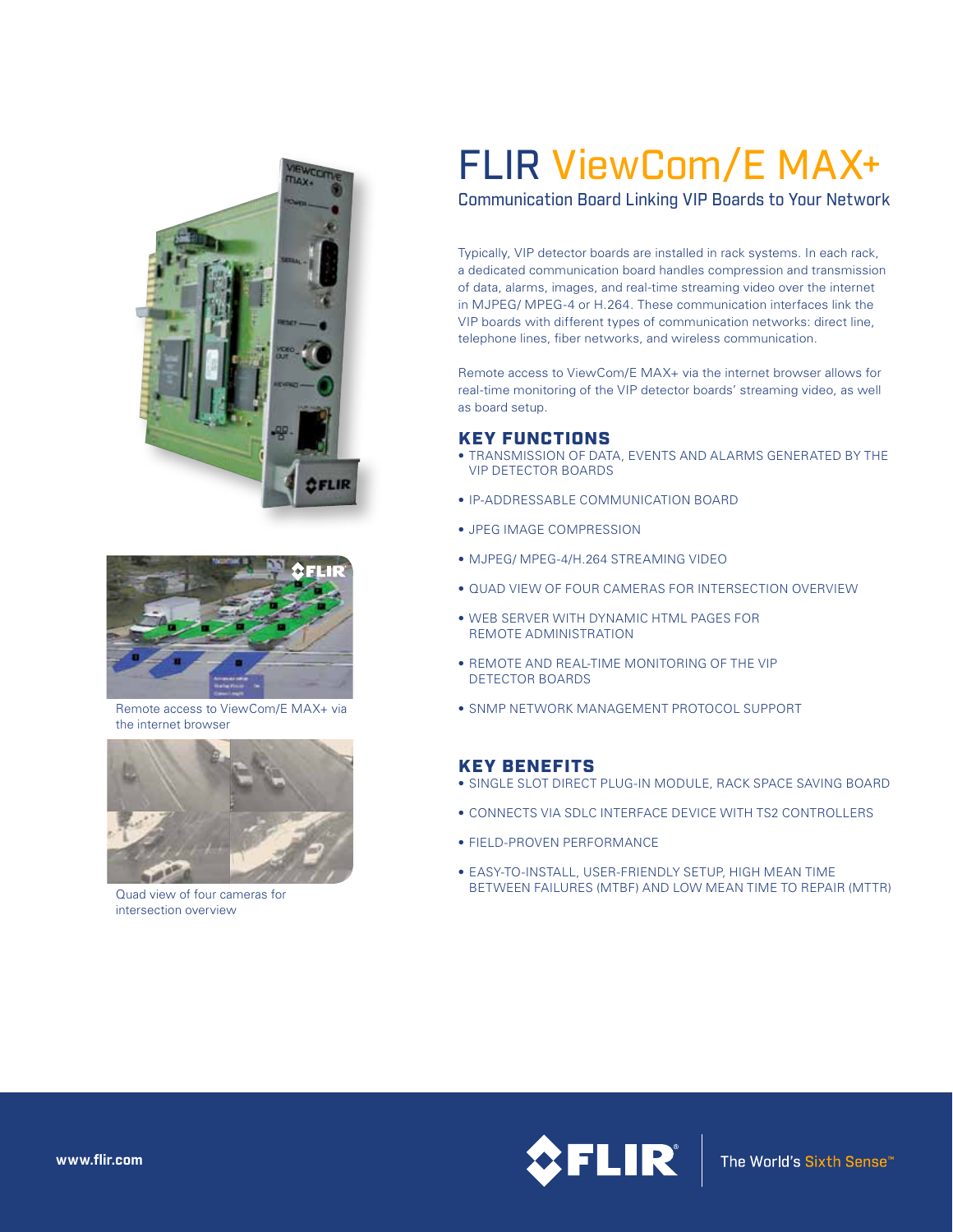



Remote access to ViewCom/E MAX+ via the internet browser



Quad view of four cameras for intersection overview

# FLIR ViewCom/E MAX+

Communication Board Linking VIP Boards to Your Network

Typically, VIP detector boards are installed in rack systems. In each rack, a dedicated communication board handles compression and transmission of data, alarms, images, and real-time streaming video over the internet in MJPEG/ MPEG-4 or H.264. These communication interfaces link the VIP boards with different types of communication networks: direct line, telephone lines, fiber networks, and wireless communication.

Remote access to ViewCom/E MAX+ via the internet browser allows for real-time monitoring of the VIP detector boards' streaming video, as well as board setup.

#### KEY FUNCTIONS

- TRANSMISSION OF DATA, EVENTS AND ALARMS GENERATED BY THE VIP DETECTOR BOARDS
- IP-ADDRESSABLE COMMUNICATION BOARD
- JPEG IMAGE COMPRESSION
- MJPEG/ MPEG-4/H.264 STREAMING VIDEO
- QUAD VIEW OF FOUR CAMERAS FOR INTERSECTION OVERVIEW
- WEB SERVER WITH DYNAMIC HTML PAGES FOR REMOTE ADMINISTRATION
- REMOTE AND REAL-TIME MONITORING OF THE VIP DETECTOR BOARDS
- SNMP NETWORK MANAGEMENT PROTOCOL SUPPORT

### KEY BENEFITS

- SINGLE SLOT DIRECT PLUG-IN MODULE, RACK SPACE SAVING BOARD
- CONNECTS VIA SDLC INTERFACE DEVICE WITH TS2 CONTROLLERS
- FIELD-PROVEN PERFORMANCE
- EASY-TO-INSTALL, USER-FRIENDLY SETUP, HIGH MEAN TIME BETWEEN FAILURES (MTBF) AND LOW MEAN TIME TO REPAIR (MTTR)